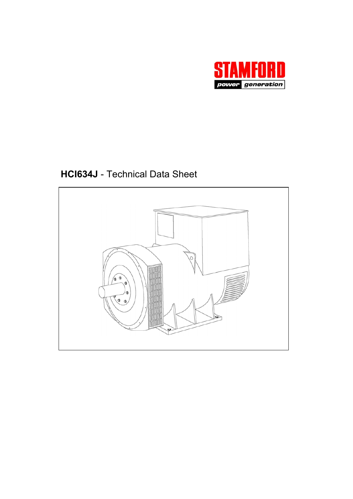

**HCI634J** - Technical Data Sheet

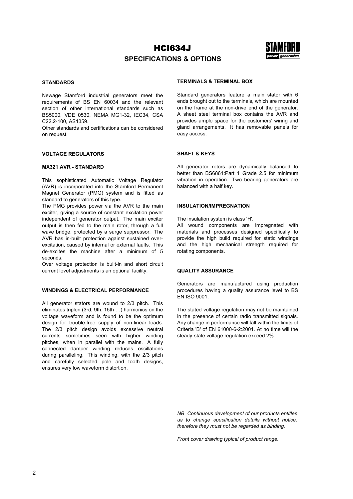

## **SPECIFICATIONS & OPTIONS**

#### **STANDARDS**

Newage Stamford industrial generators meet the requirements of BS EN 60034 and the relevant section of other international standards such as BS5000, VDE 0530, NEMA MG1-32, IEC34, CSA C22.2-100, AS1359.

Other standards and certifications can be considered on request.

#### **VOLTAGE REGULATORS**

#### **MX321 AVR - STANDARD**

This sophisticated Automatic Voltage Regulator (AVR) is incorporated into the Stamford Permanent Magnet Generator (PMG) system and is fitted as standard to generators of this type.

The PMG provides power via the AVR to the main exciter, giving a source of constant excitation power independent of generator output. The main exciter output is then fed to the main rotor, through a full wave bridge, protected by a surge suppressor. The AVR has in-built protection against sustained overexcitation, caused by internal or external faults. This de-excites the machine after a minimum of 5 seconds.

Over voltage protection is built-in and short circuit current level adjustments is an optional facility.

#### **WINDINGS & ELECTRICAL PERFORMANCE**

All generator stators are wound to 2/3 pitch. This eliminates triplen (3rd, 9th, 15th …) harmonics on the voltage waveform and is found to be the optimum design for trouble-free supply of non-linear loads. The 2/3 pitch design avoids excessive neutral currents sometimes seen with higher winding pitches, when in parallel with the mains. A fully connected damper winding reduces oscillations during paralleling. This winding, with the 2/3 pitch and carefully selected pole and tooth designs, ensures very low waveform distortion.

#### **TERMINALS & TERMINAL BOX**

Standard generators feature a main stator with 6 ends brought out to the terminals, which are mounted on the frame at the non-drive end of the generator. A sheet steel terminal box contains the AVR and provides ample space for the customers' wiring and gland arrangements. It has removable panels for easy access.

#### **SHAFT & KEYS**

All generator rotors are dynamically balanced to better than BS6861:Part 1 Grade 2.5 for minimum vibration in operation. Two bearing generators are balanced with a half key.

#### **INSULATION/IMPREGNATION**

The insulation system is class 'H'.

All wound components are impregnated with materials and processes designed specifically to provide the high build required for static windings and the high mechanical strength required for rotating components.

#### **QUALITY ASSURANCE**

Generators are manufactured using production procedures having a quality assurance level to BS EN ISO 9001.

The stated voltage regulation may not be maintained in the presence of certain radio transmitted signals. Any change in performance will fall within the limits of Criteria 'B' of EN 61000-6-2:2001. At no time will the steady-state voltage regulation exceed 2%.

*NB Continuous development of our products entitles us to change specification details without notice, therefore they must not be regarded as binding.* 

*Front cover drawing typical of product range.*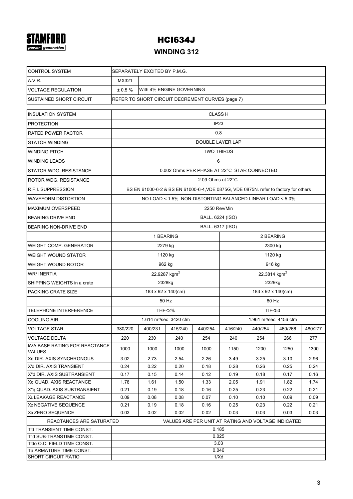# **STAMFORD**

# HCI634J

# **WINDING 312**

| <b>CONTROL SYSTEM</b>                                                           | SEPARATELY EXCITED BY P.M.G.                                 |                         |                                                                                      |                             |                                    |                    |         |         |  |  |  |
|---------------------------------------------------------------------------------|--------------------------------------------------------------|-------------------------|--------------------------------------------------------------------------------------|-----------------------------|------------------------------------|--------------------|---------|---------|--|--|--|
| A.V.R.                                                                          | MX321                                                        |                         |                                                                                      |                             |                                    |                    |         |         |  |  |  |
| <b>VOLTAGE REGULATION</b>                                                       | ± 0.5%                                                       |                         | With 4% ENGINE GOVERNING                                                             |                             |                                    |                    |         |         |  |  |  |
| <b>SUSTAINED SHORT CIRCUIT</b>                                                  |                                                              |                         | REFER TO SHORT CIRCUIT DECREMENT CURVES (page 7)                                     |                             |                                    |                    |         |         |  |  |  |
| <b>INSULATION SYSTEM</b>                                                        |                                                              |                         |                                                                                      | <b>CLASS H</b>              |                                    |                    |         |         |  |  |  |
| <b>PROTECTION</b>                                                               |                                                              |                         |                                                                                      | IP <sub>23</sub>            |                                    |                    |         |         |  |  |  |
| <b>RATED POWER FACTOR</b>                                                       |                                                              |                         |                                                                                      | 0.8                         |                                    |                    |         |         |  |  |  |
| <b>STATOR WINDING</b>                                                           |                                                              | <b>DOUBLE LAYER LAP</b> |                                                                                      |                             |                                    |                    |         |         |  |  |  |
| <b>WINDING PITCH</b>                                                            |                                                              | <b>TWO THIRDS</b>       |                                                                                      |                             |                                    |                    |         |         |  |  |  |
| <b>WINDING LEADS</b>                                                            |                                                              |                         |                                                                                      | 6                           |                                    |                    |         |         |  |  |  |
| STATOR WDG. RESISTANCE                                                          |                                                              |                         | 0.002 Ohms PER PHASE AT 22°C STAR CONNECTED                                          |                             |                                    |                    |         |         |  |  |  |
| <b>ROTOR WDG, RESISTANCE</b>                                                    |                                                              |                         |                                                                                      | 2.09 Ohms at $22^{\circ}$ C |                                    |                    |         |         |  |  |  |
| <b>R.F.I. SUPPRESSION</b>                                                       |                                                              |                         | BS EN 61000-6-2 & BS EN 61000-6-4, VDE 0875G, VDE 0875N. refer to factory for others |                             |                                    |                    |         |         |  |  |  |
| <b>WAVEFORM DISTORTION</b>                                                      |                                                              |                         | NO LOAD < 1.5% NON-DISTORTING BALANCED LINEAR LOAD < 5.0%                            |                             |                                    |                    |         |         |  |  |  |
| <b>MAXIMUM OVERSPEED</b>                                                        |                                                              |                         |                                                                                      | 2250 Rev/Min                |                                    |                    |         |         |  |  |  |
| <b>BEARING DRIVE END</b>                                                        |                                                              |                         |                                                                                      | BALL. 6224 (ISO)            |                                    |                    |         |         |  |  |  |
| <b>BEARING NON-DRIVE END</b>                                                    |                                                              |                         |                                                                                      | BALL. 6317 (ISO)            |                                    |                    |         |         |  |  |  |
|                                                                                 |                                                              |                         | 1 BEARING                                                                            |                             | 2 BEARING                          |                    |         |         |  |  |  |
| <b>WEIGHT COMP. GENERATOR</b>                                                   |                                                              |                         | 2279 kg                                                                              |                             | 2300 kg                            |                    |         |         |  |  |  |
| <b>WEIGHT WOUND STATOR</b>                                                      |                                                              |                         | 1120 kg                                                                              |                             | 1120 kg                            |                    |         |         |  |  |  |
| <b>WEIGHT WOUND ROTOR</b>                                                       |                                                              |                         | 962 kg                                                                               |                             | 916 kg                             |                    |         |         |  |  |  |
| <b>WR<sup>2</sup> INERTIA</b>                                                   |                                                              |                         | 22.9287 kgm <sup>2</sup>                                                             |                             | 22.3814 kgm <sup>2</sup>           |                    |         |         |  |  |  |
| SHIPPING WEIGHTS in a crate                                                     |                                                              |                         | 2328kg                                                                               |                             |                                    | 2329kg             |         |         |  |  |  |
| <b>PACKING CRATE SIZE</b>                                                       |                                                              |                         | 183 x 92 x 140(cm)                                                                   |                             |                                    | 183 x 92 x 140(cm) |         |         |  |  |  |
|                                                                                 | 50 Hz<br>60 Hz                                               |                         |                                                                                      |                             |                                    |                    |         |         |  |  |  |
| <b>TELEPHONE INTERFERENCE</b>                                                   |                                                              |                         | <b>THF&lt;2%</b>                                                                     |                             | <b>TIF&lt;50</b>                   |                    |         |         |  |  |  |
| <b>COOLING AIR</b>                                                              |                                                              |                         | 1.614 m <sup>3</sup> /sec 3420 cfm                                                   |                             | 1.961 m <sup>3</sup> /sec 4156 cfm |                    |         |         |  |  |  |
| <b>VOLTAGE STAR</b>                                                             | 380/220                                                      | 400/231                 | 415/240                                                                              | 440/254                     | 416/240                            | 440/254            | 460/266 | 480/277 |  |  |  |
| <b>VOLTAGE DELTA</b>                                                            | 220                                                          | 230                     | 240                                                                                  | 254                         | 240                                | 254                | 266     | 277     |  |  |  |
| <b>KVA BASE RATING FOR REACTANCE</b><br><b>VALUES</b>                           | 1000                                                         | 1000                    | 1000                                                                                 | 1000                        | 1150                               | 1200               | 1250    | 1300    |  |  |  |
| Xd DIR. AXIS SYNCHRONOUS                                                        | 3.02                                                         | 2.73                    | 2.54                                                                                 | 2.26                        | 3.49                               | 3.25               | 3.10    | 2.96    |  |  |  |
| X'd DIR. AXIS TRANSIENT                                                         | 0.24                                                         | 0.22                    | 0.20                                                                                 | 0.18                        | 0.28                               | 0.26               | 0.25    | 0.24    |  |  |  |
| X"d DIR. AXIS SUBTRANSIENT                                                      | 0.17                                                         | 0.15                    | 0.14                                                                                 | 0.12                        | 0.19                               | 0.18               | 0.17    | 0.16    |  |  |  |
| Xq QUAD. AXIS REACTANCE                                                         | 1.78                                                         | 1.61                    | 1.50                                                                                 | 1.33                        | 2.05                               | 1.91               | 1.82    | 1.74    |  |  |  |
| X"g QUAD. AXIS SUBTRANSIENT                                                     | 0.21                                                         | 0.19                    | 0.18                                                                                 | 0.16                        | 0.25                               | 0.23               | 0.22    | 0.21    |  |  |  |
| <b>XL LEAKAGE REACTANCE</b>                                                     | 0.09                                                         | 0.08                    | 0.08                                                                                 | 0.07                        | 0.10                               | 0.10               | 0.09    | 0.09    |  |  |  |
| X <sub>2</sub> NEGATIVE SEQUENCE                                                | 0.21                                                         | 0.19                    | 0.18                                                                                 | 0.16                        | 0.25                               | 0.23               | 0.22    | 0.21    |  |  |  |
| X <sub>0</sub> ZERO SEQUENCE                                                    | 0.03<br>0.02<br>0.02<br>0.02<br>0.03<br>0.03<br>0.03<br>0.03 |                         |                                                                                      |                             |                                    |                    |         |         |  |  |  |
| VALUES ARE PER UNIT AT RATING AND VOLTAGE INDICATED<br>REACTANCES ARE SATURATED |                                                              |                         |                                                                                      |                             |                                    |                    |         |         |  |  |  |
| T'd TRANSIENT TIME CONST.                                                       | 0.185                                                        |                         |                                                                                      |                             |                                    |                    |         |         |  |  |  |
| T"d SUB-TRANSTIME CONST.                                                        | 0.025<br>3.03                                                |                         |                                                                                      |                             |                                    |                    |         |         |  |  |  |
| T'do O.C. FIELD TIME CONST.<br>Ta ARMATURE TIME CONST.                          | 0.046                                                        |                         |                                                                                      |                             |                                    |                    |         |         |  |  |  |
| <b>SHORT CIRCUIT RATIO</b>                                                      | 1/Xd                                                         |                         |                                                                                      |                             |                                    |                    |         |         |  |  |  |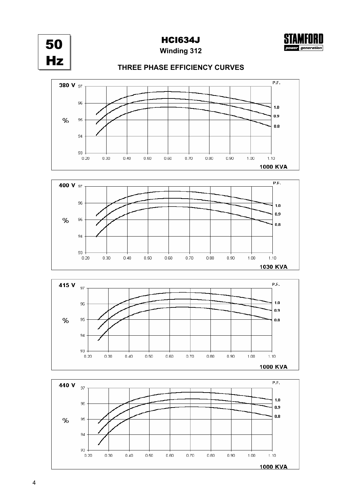

generation





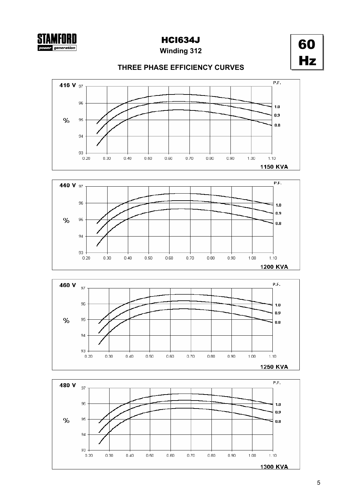**Winding 312**

60 Hz

## **THREE PHASE EFFICIENCY CURVES**







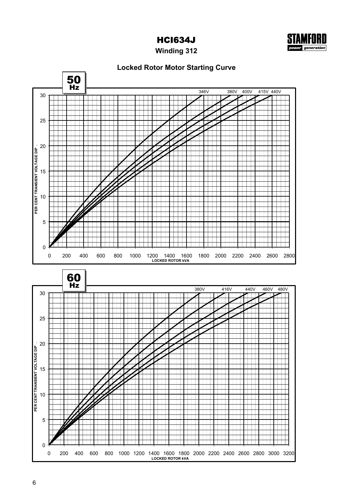

**Winding 312**

## **Locked Rotor Motor Starting Curve**

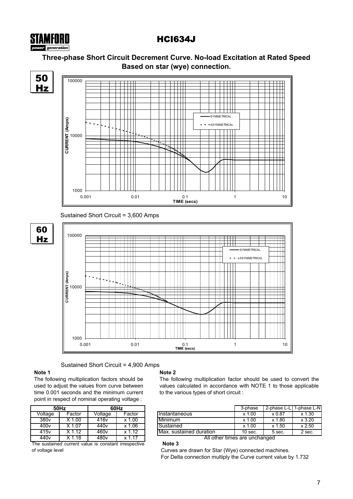# **Three-phase Short Circuit Decrement Curve. No-load Excitation at Rated Speed Based on star (wye) connection.**



## Sustained Short Circuit = 4,900 Amps

 $\perp$ 

### **Note 1**

STAMFORD power generation

The following multiplication factors should be used to adjust the values from curve between time 0.001 seconds and the minimum current point in respect of nominal operating voltage :

1000

|                  | 50Hz     | 60Hz             |          |  |  |  |  |  |
|------------------|----------|------------------|----------|--|--|--|--|--|
| Voltage          | Factor   | Voltage          | Factor   |  |  |  |  |  |
| 380v             | $X$ 1.00 | 416v             | $x$ 1.00 |  |  |  |  |  |
| 400v             | X 1.07   | 440 <sub>v</sub> | $x$ 1.06 |  |  |  |  |  |
| 415v             | X 1.12   | 460 <sub>v</sub> | x 1.12   |  |  |  |  |  |
| 440 <sub>v</sub> | X 1.18   | 480v             | x 1.17   |  |  |  |  |  |

The sustained current value is constant irrespective of voltage level

## **Note 2**

0.001 0.01 0.1 1 10 **TIME (secs)**

**Note 3**

The following multiplication factor should be used to convert the values calculated in accordance with NOTE 1 to those applicable to the various types of short circuit :

| 50Hz                     |          |               | 60Hz                     |                          | 3-phase   | 2-phase L-L       | 1-phase L-N |  |
|--------------------------|----------|---------------|--------------------------|--------------------------|-----------|-------------------|-------------|--|
| Voltage                  | Factor   | Voltage       | Factor                   | <b>Instantaneous</b>     | x 1.00    | x 0.87            | x 1.30      |  |
| 380 <sub>v</sub>         | .00      | 416v          | 0.00                     | Minimum                  | 1.00<br>x | .80               | x3.20       |  |
| 400v                     | .07      | 440v          | .06                      | Sustained                | x 1.00    | .50<br><b>Y</b> 1 | x 2.50      |  |
| $\overline{415}v$        | .12      | 460v          | .12                      | IMax. sustained duration | 10 sec.   | 5 sec.            | 2 sec.      |  |
| $\overline{\phantom{a}}$ | $\cdots$ | $\sim$ $\sim$ | $\overline{\phantom{a}}$ | $21 - 11$                |           |                   |             |  |

All other times are unchanged

Curves are drawn for Star (Wye) connected machines. For Delta connection multiply the Curve current value by 1.732